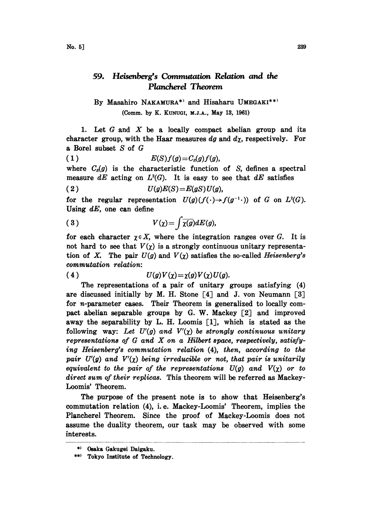## 59. Heisenberg's Commutation Relation and the Plancherel Theorem

By Masahiro NAKAMURA\*) and Hisaharu UMEGAKI\*\*) (Comm. by K. KUNUGI, M.J.A., May 13, 1961)

1. Let  $G$  and  $X$  be a locally compact abelian group and its character group, with the Haar measures dg and  $d\chi$ , respectively. For a Borel subset S of G

$$
(1) \tE(S)f(g) = C_s(g)f(g),
$$

where  $C_s(g)$  is the characteristic function of S, defines a spectral measure dE acting on  $L^2(G)$ . It is easy to see that dE satisfies

$$
(2) \tU(g)E(S)=E(gS)U(g),
$$

for the regular representation  $U(g)(f(\cdot) \rightarrow f(g^{-1} \cdot))$  of G on  $L^2(G)$ . Using  $dE$ , one can define

(3) 
$$
V(\chi) = \int \overline{\chi(g)} dE(g),
$$

for each character  $\chi \in X$ , where the integration ranges over G. It is not hard to see that  $V(\chi)$  is a strongly continuous unitary representation of X. The pair  $U(g)$  and  $V(\chi)$  satisfies the so-called Heisenberg's commutation relation:

(4)  $U(g)V(\chi) = \chi(g)V(\chi)U(g).$ 

The representations of a pair of unitary groups satisfying (4) are discussed initially by M. H. Stone  $[4]$  and J. von Neumann  $[3]$ for n-parameter cases. Their Theorem is generalized to locally compact abelian separable groups by G. W. Mackey [2] and improved away the separability by L. H. Loomis [1], which is stated as the following way: Let  $U'(g)$  and  $V'(\chi)$  be strongly continuous unitary representations of  $G$  and  $X$  on a Hilbert space, respectively, satisfying Heisenberg's commutation relation  $(4)$ , then, according to the pair  $U'(g)$  and  $V'(\chi)$  being irreducible or not, that pair is unitarily equivalent to the pair of the representations  $U(g)$  and  $V(\chi)$  or to direct sum of their replicas. This theorem will be referred as Mackey-Loomis' Theorem.

The purpose of the present note is to show that Heisenberg's commutation relation (4), i.e. Mackey-Loomis' Theorem, implies the Plancherel Theorem. Since the proof of Mackey-Loomis does not assume the duality theorem, our task may be observed with some interests.

<sup>\*)</sup> Osaka Gakugei Daigaku.

<sup>\*\*)</sup> Tokyo Institute of Technology.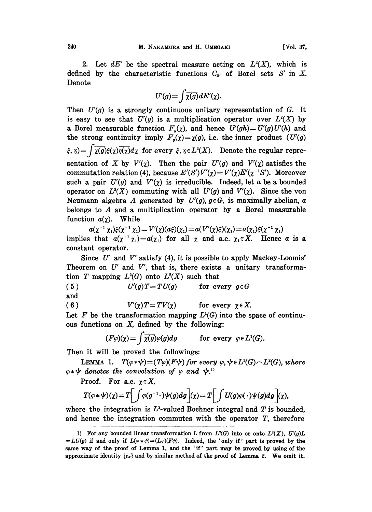2. Let  $dE'$  be the spectral measure acting on  $L<sup>2</sup>(X)$ , which is defined by the characteristic functions  $C_{S'}$  of Borel sets S' in X. Denote

$$
U'(g) = \int \overline{\chi(g)} dE'(\chi).
$$

Then  $U'(g)$  is a strongly continuous unitary representation of G. It is easy to see that  $U'(g)$  is a multiplication operator over  $L^2(X)$  by a Borel measurable function  $F<sub>g</sub>(\chi)$ , and hence  $U'(gh)=U'(g)U'(h)$  and the strong continuity imply  $F<sub>g</sub>(\chi) = \chi(g)$ , i.e. the inner product  $(U'(g))$  $\zeta$ ,  $\eta$ ) =  $\int \overline{\chi(g)} \xi(\chi) \overline{\eta(\chi)} d\chi$  for every  $\xi$ ,  $\eta \in L^2(X)$ . Denote the regular representation of X by  $V'(\chi)$ . Then the pair  $U'(g)$  and  $V'(\chi)$  satisfies the commutation relation (4), because  $E'(S')V'(\chi) = V'(\chi)E'(\chi^{-1}S')$ . Moreover such a pair  $U'(g)$  and  $V'(\gamma)$  is irreducible. Indeed, let a be a bounded operator on  $L^2(X)$  commuting with all  $U'(g)$  and  $V'(\chi)$ . Since the von Neumann algebra A generated by  $U'(g)$ ,  $g \in G$ , is maximally abelian, a belongs to A and <sup>a</sup> multiplication operator by a Borel measurable function  $a(\chi)$ . While

 $a(\chi^{-1} \chi_1)\xi(\chi^{-1} \chi_1)=V'(\chi)(a\xi)(\chi_1)=a(V'(\chi)\xi)(\chi_1)=a(\chi_1)\xi(\chi^{-1} \chi_1)$ implies that  $a(\chi^{-1}\chi_1)=a(\chi_1)$  for all  $\chi$  and a.e.  $\chi_1 \in X$ . Hence a is a constant operator.

Since  $U'$  and  $V'$  satisfy (4), it is possible to apply Mackey-Loomis' Theorem on  $U'$  and  $V'$ , that is, there exists a unitary transformation T mapping  $L^2(G)$  onto  $L^2(X)$  such that

(5)  $U'(g)T = TU(g)$  for every  $g \in G$ and (6)  $V'(\chi)T = TV(\chi)$  for every  $\chi \in X$ .

Let F be the transformation mapping  $L^{1}(G)$  into the space of continuous functions on  $X$ , defined by the following:

$$
(F\varphi)(\chi) = \int \overline{\chi(g)}\varphi(g) dg \quad \text{for every } \varphi \in L^1(G).
$$

Then it will be proved the followings:

LEMMA 1.  $T(\varphi*\psi)=(T\varphi)(F\psi)$  for every  $\varphi, \psi \in L^1(G) \cap L^2(G)$ , where  $\varphi * \psi$  denotes the convolution of  $\varphi$  and  $\psi$ .<sup>1)</sup><br>Proof. For a.e.  $\chi \in X$ ,

Proof. For a.e. 
$$
\chi \in X
$$
,

$$
T(\varphi \ast \psi)(\chi) = T \left[ \int \varphi(g^{-1} \cdot) \psi(g) dg \right](\chi) = T \left[ \int U(g) \varphi(\cdot) \psi(g) dg \right](\chi),
$$

where the integration is  $L^2$ -valued Bochner integral and T is bounded, and hence the integration commutes with the operator T, therefore

<sup>1)</sup> For any bounded linear transformation L from  $L^2(G)$  into or onto  $L^2(X)$ ,  $U'(g)L$  $=LU(g)$  if and only if  $L(\varphi*\psi)=(L\varphi)(F\psi)$ . Indeed, the 'only if' part is proved by the same way of the proof of Lemma 1, and the 'if' part may be proved by using of the approximate identity  ${e_a}$  and by similar method of the proof of Lemma 2. We omit it.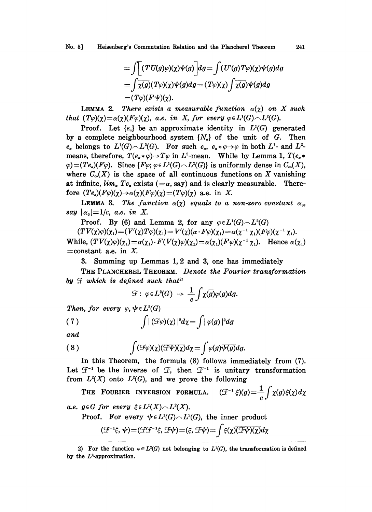No. 5] Heisenberg's Commutation Relation and the Plancherel Theorem 241

$$
=\int \Bigl[ (TU(g)\varphi)(\chi)\psi(g)\Bigr] dg = \int (U'(g)T\varphi)(\chi)\psi(g) dg
$$
  
= 
$$
\int \overline{\chi(g)}(T\varphi)(\chi)\psi(g) dg = (T\varphi)(\chi)\int \overline{\chi(g)}\psi(g) dg
$$
  
= 
$$
(T\varphi)(F\psi)(\chi).
$$

**LEMMA 2.** There exists a measurable function  $\alpha(\chi)$  on X such that  $(T\varphi)(\chi) = \alpha(\chi)(F\varphi)(\chi)$ , a.e. in X, for every  $\varphi \in L^1(G) \setminus L^2(G)$ .

Proof. Let  $\{e_{\alpha}\}\$ be an approximate identity in  $L^{1}(G)$  generated by a complete neighbourhood system  $\{N_a\}$  of the unit of G. Then  $e_a$  belongs to  $L^1(G) \sim L^2(G)$ . For such  $e_a$ ,  $e_a * \varphi \rightarrow \varphi$  in both  $L^1$ - and  $L$ <br>means, therefore,  $T(e_a * \varphi) \rightarrow T\varphi$  in  $L^2$ -mean. While by Lemma 1,  $T(e_a \varphi)$ <br> $\sim (Te_a)(E_a)$ . Since  $E_a$  and  $L^1(G)$ ,  $L^2(G)$  is originally  $\varphi$ )=(Te<sub>a</sub>)(F $\varphi$ ). Since {F $\varphi$ ;  $\varphi \in L^1(G) \setminus L^2(G)$ } is uniformly dense in  $C_{\infty}(X)$ , means, therefore,  $T(e_{\alpha} * \varphi) \rightarrow T\varphi$  in  $L^2$ -mean. While by Lemma 1,  $T(e_{\alpha} * \varphi)$ where  $C_{\infty}(X)$  is the space of all continuous functions on X vanishing at infinite,  $\lim_{\alpha} Te_{\alpha}$  exists ( $=\alpha$ , say) and is clearly measurable. Therefore  $(Te_a)(F\varphi)(\chi) \rightarrow \alpha(\chi)(F\varphi)(\chi) = (T\varphi)(\chi)$  a.e. in X.

**LEMMA 3.** The function  $\alpha(\chi)$  equals to a non-zero constant  $\alpha_0$ , say  $|\alpha_0|=1/c$ , a.e. in X.

Proof. By (6) and Lemma 2, for any  $\varphi \in L^1(G) \setminus L^2(G)$ 

 $(TV(\chi)\varphi)(\chi_1)=(V'(\chi)T\varphi)(\chi_1)=V'(\chi)(\alpha\cdot F\varphi)(\chi_1)=\alpha(\chi^{-1}\chi_1)(F\varphi)(\chi^{-1}\chi_1).$ While,  $(TV(\chi)\varphi)(\chi_1) = \alpha(\chi_1) \cdot F(V(\chi)\varphi)(\chi_1) = \alpha(\chi_1)(F\varphi)(\chi^{-1}\chi_1)$ . Hence  $=$  constant a.e. in X.  $=$ constant a.e. in X.

3. Summing up Lemmas 1, 2 and 3, one has immediately

THE PLANCHEREL THEOREM. Denote the Fourier transformation by  $\mathcal F$  which is defined such that<sup>2)</sup>

$$
\mathcal{F}\colon\varphi\!\in\!L^2(G)\,\to\,\frac{1}{c}\!\int\!\overline{\chi(g)}\varphi(g)dg.
$$

Then, for every  $\varphi$ ,  $\psi \in L^2(G)$ 

(7) 
$$
\int |(\mathcal{F}\varphi)(\chi)|^2 d\chi = \int |\varphi(g)|^2 dg
$$

and

(8) 
$$
\int (\mathcal{F}\varphi)(\chi)(\overline{\mathcal{F}\psi)(\chi})d\chi = \int \varphi(g)\overline{\psi(g)}dg.
$$

In this Theorem, the formula (8) follows immediately from (7). Let  $\mathcal{F}^{-1}$  be the inverse of  $\mathcal{F}$ , then  $\mathcal{F}^{-1}$  is unitary transformation from  $L^2(X)$  onto  $L^2(G)$ , and we prove the following

 $(\mathcal{F}^{-1}\xi)(g) = \frac{1}{c}\int \chi(g)\xi(\chi) d\chi$ THE FOURIER INVERSION FORMULA.

a.e.  $g \in G$  for every  $\xi \in L^1(X) \cap L^2(X)$ .

Proof. For every  $\psi \in L^1(G) \frown L^2(G)$ , the inner product  $(\mathcal{F}^{-1}\xi, \psi) = (\mathcal{F}\mathcal{F}^{-1}\xi, \mathcal{F}\psi) = (\xi, \mathcal{F}\psi) = \int \xi(\chi) \overline{(\mathcal{F}\psi)(\chi)} d\chi$ 

<sup>2)</sup> For the function  $\varphi \in L^2(G)$  not belonging to  $L^1(G)$ , the transformation is defined by the  $L^2$ -approximation.